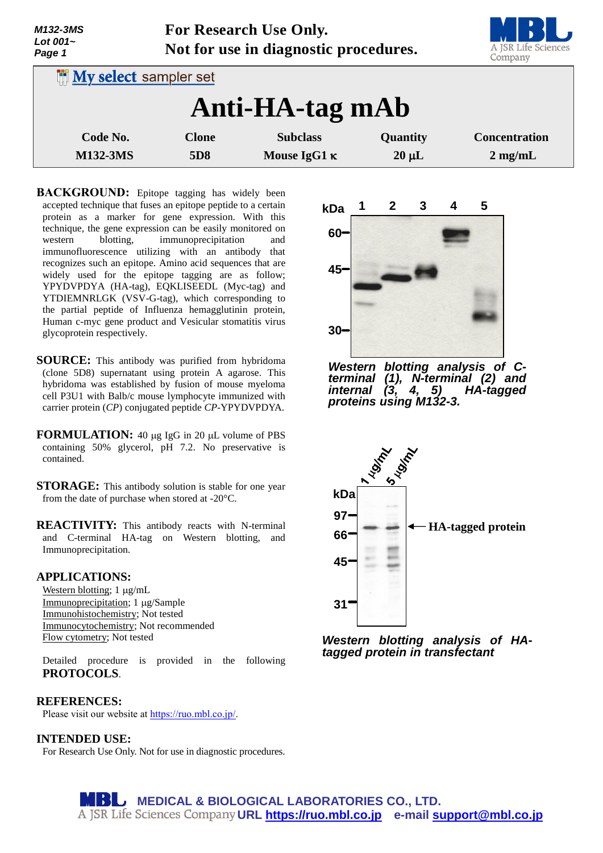| M132-3MS<br>Lot $001-$<br>Page 1 | For Research Use Only.<br>Not for use in diagnostic procedures. |                                        |                        | A JSR Life Sciences<br>Company            |
|----------------------------------|-----------------------------------------------------------------|----------------------------------------|------------------------|-------------------------------------------|
| <b>My select sampler set</b>     |                                                                 |                                        |                        |                                           |
|                                  |                                                                 | Anti-HA-tag mAb                        |                        |                                           |
| Code No.<br><b>M132-3MS</b>      | <b>Clone</b><br>5D <sub>8</sub>                                 | <b>Subclass</b><br>Mouse IgG1 $\kappa$ | Quantity<br>$20 \mu L$ | <b>Concentration</b><br>$2 \text{ mg/mL}$ |

**BACKGROUND:** Epitope tagging has widely been accepted technique that fuses an epitope peptide to a certain protein as a marker for gene expression. With this technique, the gene expression can be easily monitored on western blotting, immunoprecipitation and immunofluorescence utilizing with an antibody that recognizes such an epitope. Amino acid sequences that are widely used for the epitope tagging are as follow; YPYDVPDYA (HA-tag), EQKLISEEDL (Myc-tag) and YTDIEMNRLGK (VSV-G-tag), which corresponding to the partial peptide of Influenza hemagglutinin protein, Human c-myc gene product and Vesicular stomatitis virus glycoprotein respectively.

- **SOURCE:** This antibody was purified from hybridoma (clone 5D8) supernatant using protein A agarose. This hybridoma was established by fusion of mouse myeloma cell P3U1 with Balb/c mouse lymphocyte immunized with carrier protein (*CP*) conjugated peptide *CP*-YPYDVPDYA.
- **FORMULATION:** 40 µg IgG in 20 µL volume of PBS containing 50% glycerol, pH 7.2. No preservative is contained.
- **STORAGE:** This antibody solution is stable for one year from the date of purchase when stored at -20°C.
- **REACTIVITY:** This antibody reacts with N-terminal and C-terminal HA-tag on Western blotting, and Immunoprecipitation.

### **APPLICATIONS:**

Western blotting; 1 µg/mL Immunoprecipitation; 1 µg/Sample Immunohistochemistry; Not tested Immunocytochemistry; Not recommended Flow cytometry; Not tested

Detailed procedure is provided in the following **PROTOCOLS**.

# **REFERENCES:**

Please visit our website at [https://ruo.mbl.co.jp/.](https://ruo.mbl.co.jp/)

**INTENDED USE:** For Research Use Only. Not for use in diagnostic procedures.

**45 30 kDa 1 2 3 4 5 60**

*Western blotting analysis of Cterminal (1), N-terminal (2) and internal (3, 4, 5) HA-tagged proteins using M132-3.*



*Western blotting analysis of HAtagged protein in transfectant*